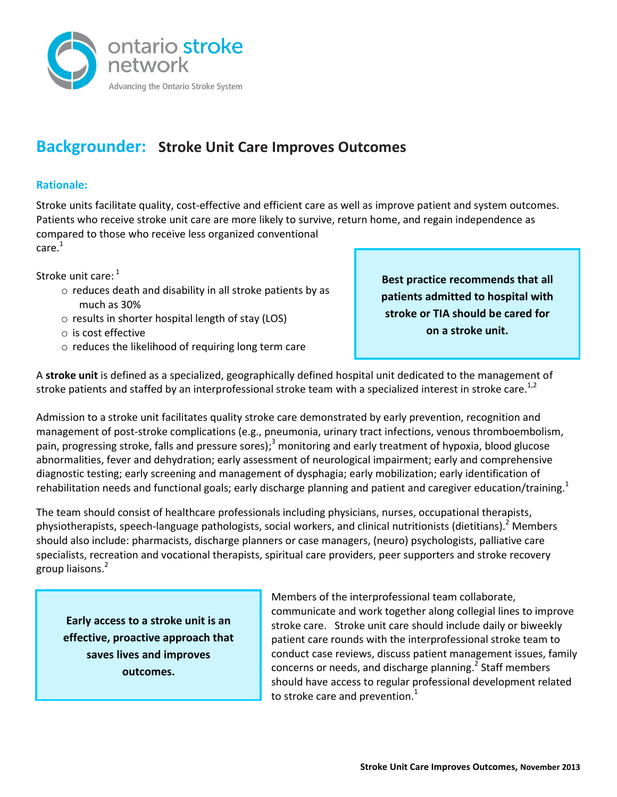

# **Backgrounder: Stroke Unit Care Improves Outcomes**

## **Rationale:**

Stroke units facilitate quality, cost-effective and efficient care as well as improve patient and system outcomes. Patients who receive stroke unit care are more likely to survive, return home, and regain independence as compared to those who receive less organized conventional care. [1](#page-0-0)

Stroke unit care:  $1$ 

- o reduces death and disability in all stroke patients by as much as 30%
- o results in shorter hospital length of stay (LOS)
- o is cost effective
- o reduces the likelihood of requiring long term care

<span id="page-0-1"></span><span id="page-0-0"></span>**Best practice recommends that all patients admitted to hospital with stroke or TIA should be cared for on a stroke unit.**

A **stroke unit** is defined as a specialized, geographically defined hospital unit dedicated to the management of stroke patients and staffed by an interprofessional stroke team with a specialized interest in stroke care.<sup>1,2</sup>

Admission to a stroke unit facilitates quality stroke care demonstrated by early prevention, recognition and management of post-stroke complications (e.g., pneumonia, urinary tract infections, venous thromboembolism, pain, progressing stroke, falls and pressure sores);<sup>3</sup> monitoring and early treatment of hypoxia, blood glucose abnormalities, fever and dehydration; early assessment of neurological impairment; early and comprehensive diagnostic testing; early screening and management of dysphagia; early mobilization; early identification of rehabilitation needs and functional goals; early discharge planning and patient and caregiver education/training.<sup>[1](#page-0-0)</sup>

The team should consist of healthcare professionals including physicians, nurses, occupational therapists, physiotherapists, speech-language pathologists, social workers, and clinical nutritionists (dietitians)[.](#page-0-1) Members should also include: pharmacists, discharge planners or case managers, (neuro) psychologists, palliative care specialists, recreation and vocational therapists, spiritual care providers, peer supporters and stroke recovery group liaisons.<sup>2</sup>

**Early access to a stroke unit is an effective, proactive approach that saves lives and improves outcomes.**

Members of the interprofessional team collaborate, communicate and work together along collegial lines to improve stroke care. Stroke unit care should include daily or biweekly patient care rounds with the interprofessional stroke team to conduct case reviews, discuss patient management issues, family concerns or needs, and discharge planning.<sup>[2](#page-0-1)</sup> Staff members should have access to regular professional development related to stroke care and prevention.<sup>[1](#page-0-0)</sup>